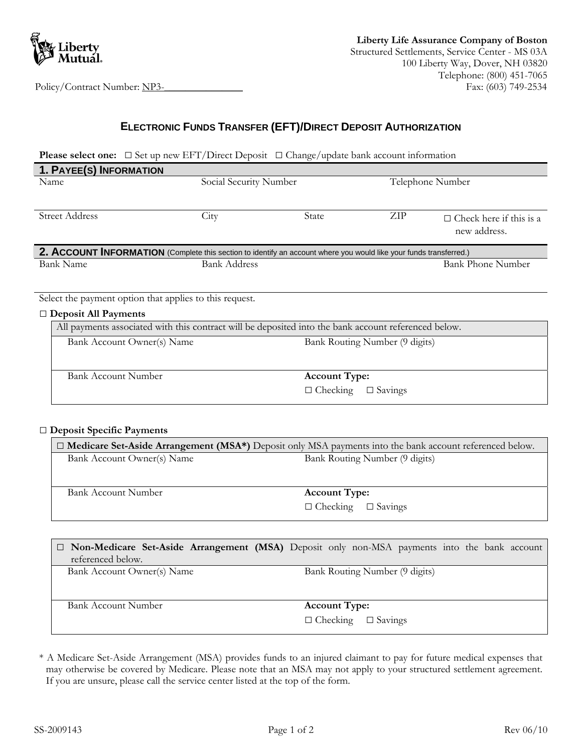

# **ELECTRONIC FUNDS TRANSFER (EFT)/DIRECT DEPOSIT AUTHORIZATION**

**Please select one:** □ Set up new EFT/Direct Deposit □ Change/update bank account information

| 1. PAYEE(S) INFORMATION                                                                                            |                        |                                |                  |                                |  |  |
|--------------------------------------------------------------------------------------------------------------------|------------------------|--------------------------------|------------------|--------------------------------|--|--|
| Name                                                                                                               | Social Security Number |                                | Telephone Number |                                |  |  |
|                                                                                                                    |                        |                                |                  |                                |  |  |
| Street Address                                                                                                     | City                   | State                          | ZIP              | $\Box$ Check here if this is a |  |  |
|                                                                                                                    |                        |                                |                  | new address.                   |  |  |
| 2. ACCOUNT INFORMATION (Complete this section to identify an account where you would like your funds transferred.) |                        |                                |                  |                                |  |  |
| Bank Name                                                                                                          | <b>Bank Address</b>    |                                |                  | <b>Bank Phone Number</b>       |  |  |
|                                                                                                                    |                        |                                |                  |                                |  |  |
| Select the payment option that applies to this request.                                                            |                        |                                |                  |                                |  |  |
| $\Box$ Deposit All Payments                                                                                        |                        |                                |                  |                                |  |  |
| All payments associated with this contract will be deposited into the bank account referenced below.               |                        |                                |                  |                                |  |  |
| Bank Account Owner(s) Name                                                                                         |                        | Bank Routing Number (9 digits) |                  |                                |  |  |
|                                                                                                                    |                        |                                |                  |                                |  |  |
|                                                                                                                    |                        |                                |                  |                                |  |  |
| <b>Bank Account Number</b>                                                                                         |                        | <b>Account Type:</b>           |                  |                                |  |  |
|                                                                                                                    |                        | $\Box$ Checking                | $\Box$ Savings   |                                |  |  |

#### □ **Deposit Specific Payments**

| $\Box$ Medicare Set-Aside Arrangement (MSA*) Deposit only MSA payments into the bank account referenced below. |                                |  |  |  |
|----------------------------------------------------------------------------------------------------------------|--------------------------------|--|--|--|
| Bank Account Owner(s) Name                                                                                     | Bank Routing Number (9 digits) |  |  |  |
|                                                                                                                |                                |  |  |  |
| Bank Account Number                                                                                            | <b>Account Type:</b>           |  |  |  |
|                                                                                                                | $\Box$ Checking $\Box$ Savings |  |  |  |

|                            | $\Box$ Non-Medicare Set-Aside Arrangement (MSA) Deposit only non-MSA payments into the bank account |
|----------------------------|-----------------------------------------------------------------------------------------------------|
| referenced below.          |                                                                                                     |
| Bank Account Owner(s) Name | Bank Routing Number (9 digits)                                                                      |
| Bank Account Number        | <b>Account Type:</b>                                                                                |
|                            | $\Box$ Checking $\Box$ Savings                                                                      |

\* A Medicare Set-Aside Arrangement (MSA) provides funds to an injured claimant to pay for future medical expenses that may otherwise be covered by Medicare. Please note that an MSA may not apply to your structured settlement agreement. If you are unsure, please call the service center listed at the top of the form.